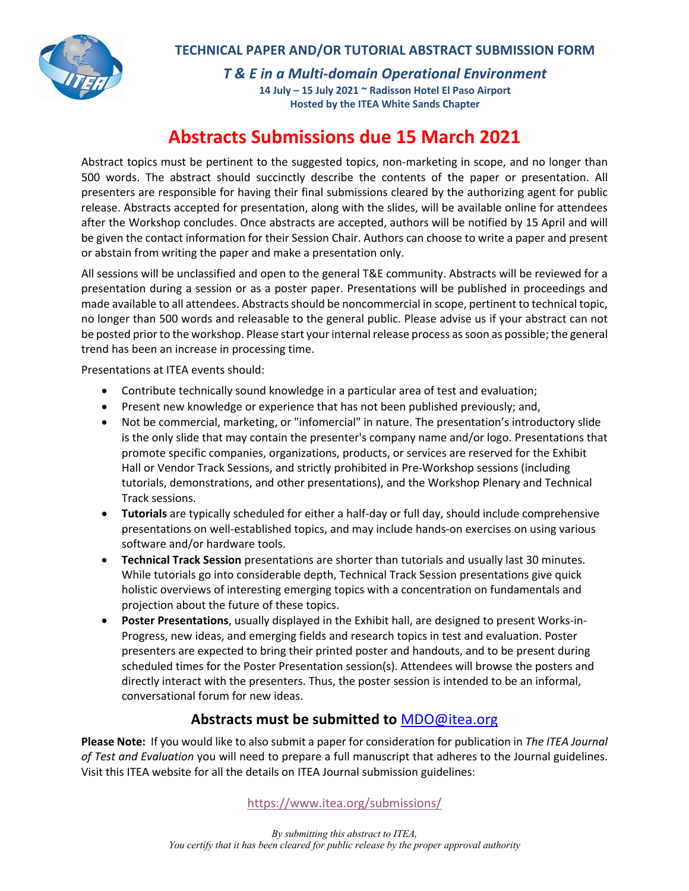

*T & E in a Multi-domain Operational Environment*

**14 July – 15 July 2021 ~ Radisson Hotel El Paso Airport Hosted by the ITEA White Sands Chapter**

## **Abstracts Submissions due 15 March 2021**

Abstract topics must be pertinent to the suggested topics, non-marketing in scope, and no longer than 500 words. The abstract should succinctly describe the contents of the paper or presentation. All presenters are responsible for having their final submissions cleared by the authorizing agent for public release. Abstracts accepted for presentation, along with the slides, will be available online for attendees after the Workshop concludes. Once abstracts are accepted, authors will be notified by 15 April and will be given the contact information for their Session Chair. Authors can choose to write a paper and present or abstain from writing the paper and make a presentation only.

All sessions will be unclassified and open to the general T&E community. Abstracts will be reviewed for a presentation during a session or as a poster paper. Presentations will be published in proceedings and made available to all attendees. Abstracts should be noncommercial in scope, pertinent to technical topic, no longer than 500 words and releasable to the general public. Please advise us if your abstract can not be posted prior to the workshop. Please start your internal release process as soon as possible; the general trend has been an increase in processing time.

Presentations at ITEA events should:

- Contribute technically sound knowledge in a particular area of test and evaluation;
- Present new knowledge or experience that has not been published previously; and,
- Not be commercial, marketing, or "infomercial" in nature. The presentation's introductory slide is the only slide that may contain the presenter's company name and/or logo. Presentations that promote specific companies, organizations, products, or services are reserved for the Exhibit Hall or Vendor Track Sessions, and strictly prohibited in Pre-Workshop sessions (including tutorials, demonstrations, and other presentations), and the Workshop Plenary and Technical Track sessions.
- **Tutorials** are typically scheduled for either a half-day or full day, should include comprehensive presentations on well-established topics, and may include hands-on exercises on using various software and/or hardware tools.
- **Technical Track Session** presentations are shorter than tutorials and usually last 30 minutes. While tutorials go into considerable depth, Technical Track Session presentations give quick holistic overviews of interesting emerging topics with a concentration on fundamentals and projection about the future of these topics.
- **Poster Presentations**, usually displayed in the Exhibit hall, are designed to present Works-in-Progress, new ideas, and emerging fields and research topics in test and evaluation. Poster presenters are expected to bring their printed poster and handouts, and to be present during scheduled times for the Poster Presentation session(s). Attendees will browse the posters and directly interact with the presenters. Thus, the poster session is intended to be an informal, conversational forum for new ideas.

### **Abstracts must be submitted to** MDO@itea.org

**Please Note:** If you would like to also submit a paper for consideration for publication in *The ITEA Journal of Test and Evaluation* you will need to prepare a full manuscript that adheres to the Journal guidelines. Visit this ITEA website for all the details on ITEA Journal submission guidelines:

#### https://www.itea.org/submissions/